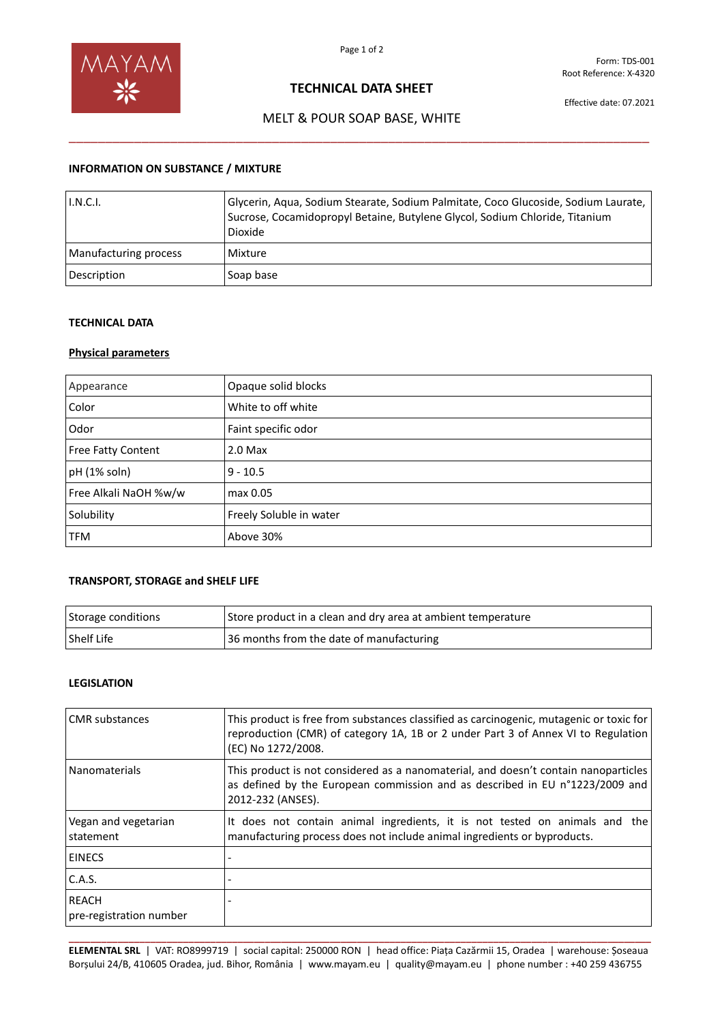

Form: TDS-001 Root Reference: X-4320

## **TECHNICAL DATA SHEET**

Effective date: 07.2021

# MELT & POUR SOAP BASE, WHITE \_\_\_\_\_\_\_\_\_\_\_\_\_\_\_\_\_\_\_\_\_\_\_\_\_\_\_\_\_\_\_\_\_\_\_\_\_\_\_\_\_\_\_\_\_\_\_\_\_\_\_\_\_\_\_\_\_\_\_\_\_\_\_\_\_\_\_\_\_\_\_\_\_\_\_\_\_\_\_\_

## **INFORMATION ON SUBSTANCE / MIXTURE**

| I.N.C.I.              | Glycerin, Aqua, Sodium Stearate, Sodium Palmitate, Coco Glucoside, Sodium Laurate,<br>Sucrose, Cocamidopropyl Betaine, Butylene Glycol, Sodium Chloride, Titanium<br>Dioxide |
|-----------------------|------------------------------------------------------------------------------------------------------------------------------------------------------------------------------|
| Manufacturing process | Mixture                                                                                                                                                                      |
| Description           | Soap base                                                                                                                                                                    |

#### **TECHNICAL DATA**

### **Physical parameters**

| Appearance            | Opaque solid blocks     |
|-----------------------|-------------------------|
| Color                 | White to off white      |
| Odor                  | Faint specific odor     |
| Free Fatty Content    | $2.0$ Max               |
| pH (1% soln)          | $9 - 10.5$              |
| Free Alkali NaOH %w/w | max 0.05                |
| Solubility            | Freely Soluble in water |
| <b>TFM</b>            | Above 30%               |

# **TRANSPORT, STORAGE and SHELF LIFE**

| Storage conditions | Store product in a clean and dry area at ambient temperature |
|--------------------|--------------------------------------------------------------|
| l Shelf Life       | 36 months from the date of manufacturing                     |

## **LEGISLATION**

| <b>CMR</b> substances                   | This product is free from substances classified as carcinogenic, mutagenic or toxic for<br>reproduction (CMR) of category 1A, 1B or 2 under Part 3 of Annex VI to Regulation<br>(EC) No 1272/2008. |
|-----------------------------------------|----------------------------------------------------------------------------------------------------------------------------------------------------------------------------------------------------|
| <b>Nanomaterials</b>                    | This product is not considered as a nanomaterial, and doesn't contain nanoparticles<br>as defined by the European commission and as described in EU n°1223/2009 and<br>2012-232 (ANSES).           |
| Vegan and vegetarian<br>statement       | It does not contain animal ingredients, it is not tested on animals and the<br>manufacturing process does not include animal ingredients or byproducts.                                            |
| <b>EINECS</b>                           |                                                                                                                                                                                                    |
| C.A.S.                                  |                                                                                                                                                                                                    |
| <b>REACH</b><br>pre-registration number |                                                                                                                                                                                                    |

**\_\_\_\_\_\_\_\_\_\_\_\_\_\_\_\_\_\_\_\_\_\_\_\_\_\_\_\_\_\_\_\_\_\_\_\_\_\_\_\_\_\_\_\_\_\_\_\_\_\_\_\_\_\_\_\_\_\_\_\_\_\_\_\_\_\_\_\_\_\_\_\_\_\_\_\_\_\_\_\_\_\_\_\_\_\_\_\_\_\_\_\_\_\_\_\_\_\_\_\_\_\_\_\_\_\_\_ ELEMENTAL SRL** | VAT: RO8999719 | social capital: 250000 RON | head office: Piața Cazărmii 15, Oradea | warehouse: Șoseaua Borșului 24/B, 410605 Oradea, jud. Bihor, România | www.mayam.eu | quality@mayam.eu | phone number : +40 259 436755